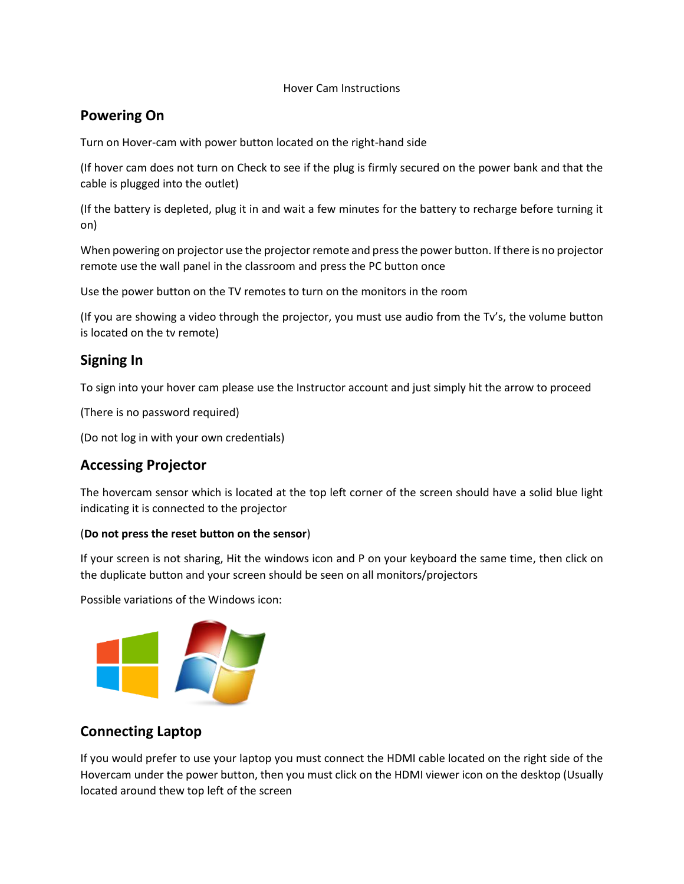#### Hover Cam Instructions

### **Powering On**

Turn on Hover-cam with power button located on the right-hand side

(If hover cam does not turn on Check to see if the plug is firmly secured on the power bank and that the cable is plugged into the outlet)

(If the battery is depleted, plug it in and wait a few minutes for the battery to recharge before turning it on)

When powering on projector use the projector remote and press the power button. If there is no projector remote use the wall panel in the classroom and press the PC button once

Use the power button on the TV remotes to turn on the monitors in the room

(If you are showing a video through the projector, you must use audio from the Tv's, the volume button is located on the tv remote)

# **Signing In**

To sign into your hover cam please use the Instructor account and just simply hit the arrow to proceed

(There is no password required)

(Do not log in with your own credentials)

# **Accessing Projector**

The hovercam sensor which is located at the top left corner of the screen should have a solid blue light indicating it is connected to the projector

### (**Do not press the reset button on the sensor**)

If your screen is not sharing, Hit the windows icon and P on your keyboard the same time, then click on the duplicate button and your screen should be seen on all monitors/projectors

Possible variations of the Windows icon:



## **Connecting Laptop**

If you would prefer to use your laptop you must connect the HDMI cable located on the right side of the Hovercam under the power button, then you must click on the HDMI viewer icon on the desktop (Usually located around thew top left of the screen